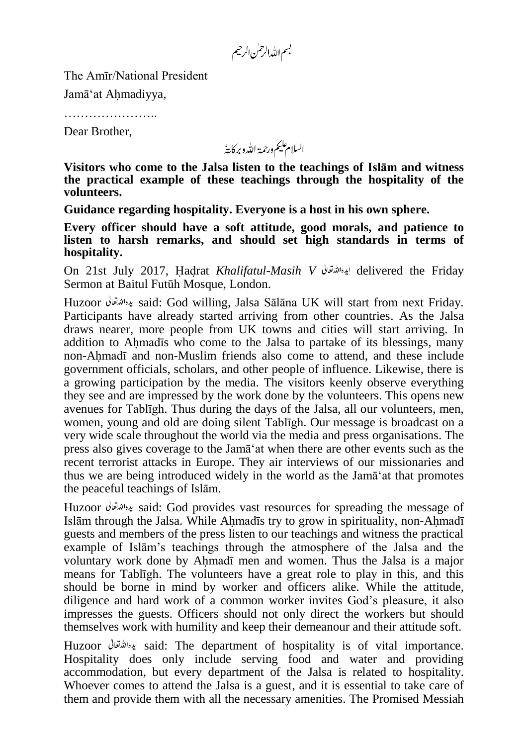بسم الله الرحمٰن الرحيم

The Amīr/National President

Jamā'at Ahmadiyya,

…………………..

Dear Brother,

السلام عليم ورحمة الله وبركايةُ

**Visitors who come to the Jalsa listen to the teachings of Islām and witness the practical example of these teachings through the hospitality of the volunteers.**

**Guidance regarding hospitality. Everyone is a host in his own sphere.**

**Every officer should have a soft attitude, good morals, and patience to listen to harsh remarks, and should set high standards in terms of hospitality.**

On 21st July 2017, Hadrat *Khalifatul-Masih V* delivered the Friday Sermon at Baitul Futūh Mosque, London.

Huzoor said: God willing, Jalsa Sālāna UK will start from next Friday. Participants have already started arriving from other countries. As the Jalsa draws nearer, more people from UK towns and cities will start arriving. In addition to Ahmadīs who come to the Jalsa to partake of its blessings, many non-Ahmadī and non-Muslim friends also come to attend, and these include government officials, scholars, and other people of influence. Likewise, there is a growing participation by the media. The visitors keenly observe everything they see and are impressed by the work done by the volunteers. This opens new avenues for Tablīgh. Thus during the days of the Jalsa, all our volunteers, men, women, young and old are doing silent Tablīgh. Our message is broadcast on a very wide scale throughout the world via the media and press organisations. The press also gives coverage to the Jamā'at when there are other events such as the recent terrorist attacks in Europe. They air interviews of our missionaries and thus we are being introduced widely in the world as the Jamā'at that promotes the peaceful teachings of Islām.

Huzoor ايده الله قعائل said: God provides vast resources for spreading the message of Islām through the Jalsa. While Ahmadīs try to grow in spirituality, non-Ahmadī guests and members of the press listen to our teachings and witness the practical example of Islām's teachings through the atmosphere of the Jalsa and the voluntary work done by Ahmadī men and women. Thus the Jalsa is a major means for Tablīgh. The volunteers have a great role to play in this, and this should be borne in mind by worker and officers alike. While the attitude, diligence and hard work of a common worker invites God's pleasure, it also impresses the guests. Officers should not only direct the workers but should themselves work with humility and keep their demeanour and their attitude soft.

Huzoor ايده الله تعالى said: The department of hospitality is of vital importance. Hospitality does only include serving food and water and providing accommodation, but every department of the Jalsa is related to hospitality. Whoever comes to attend the Jalsa is a guest, and it is essential to take care of them and provide them with all the necessary amenities. The Promised Messiah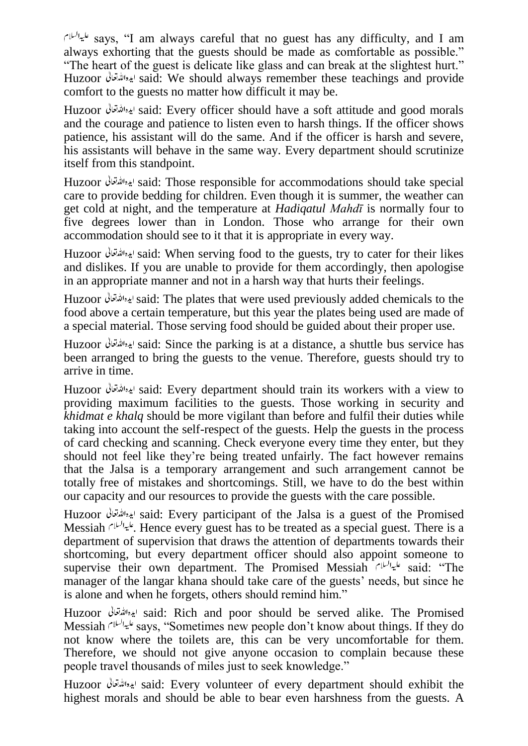says, "I am always careful that no guest has any difficulty, and I am always exhorting that the guests should be made as comfortable as possible." "The heart of the guest is delicate like glass and can break at the slightest hurt." Huzoor said: We should always remember these teachings and provide comfort to the guests no matter how difficult it may be.

Huzoor ایدہاللہ قعائی said: Every officer should have a soft attitude and good morals and the courage and patience to listen even to harsh things. If the officer shows patience, his assistant will do the same. And if the officer is harsh and severe, his assistants will behave in the same way. Every department should scrutinize itself from this standpoint.

Huzoor said: Those responsible for accommodations should take special care to provide bedding for children. Even though it is summer, the weather can get cold at night, and the temperature at *Hadiqatul Mahdī* is normally four to five degrees lower than in London. Those who arrange for their own accommodation should see to it that it is appropriate in every way.

Huzoor ایده الله قعاتی said: When serving food to the guests, try to cater for their likes and dislikes. If you are unable to provide for them accordingly, then apologise in an appropriate manner and not in a harsh way that hurts their feelings.

Huzoor ایده الله قعالی said: The plates that were used previously added chemicals to the food above a certain temperature, but this year the plates being used are made of a special material. Those serving food should be guided about their proper use.

Huzoor said: Since the parking is at a distance, a shuttle bus service has been arranged to bring the guests to the venue. Therefore, guests should try to arrive in time.

Huzoor said: Every department should train its workers with a view to providing maximum facilities to the guests. Those working in security and *khidmat e khalq* should be more vigilant than before and fulfil their duties while taking into account the self-respect of the guests. Help the guests in the process of card checking and scanning. Check everyone every time they enter, but they should not feel like they're being treated unfairly. The fact however remains that the Jalsa is a temporary arrangement and such arrangement cannot be totally free of mistakes and shortcomings. Still, we have to do the best within our capacity and our resources to provide the guests with the care possible.

Huzoor said: Every participant of the Jalsa is a guest of the Promised Messiah  $\frac{d^{(k+1)/2}}{k}$ . Hence every guest has to be treated as a special guest. There is a department of supervision that draws the attention of departments towards their shortcoming, but every department officer should also appoint someone to supervise their own department. The Promised Messiah  $s^{(1)}$  said: "The manager of the langar khana should take care of the guests' needs, but since he is alone and when he forgets, others should remind him."

Huzoor said: Rich and poor should be served alike. The Promised Messiah says, "Sometimes new people don't know about things. If they do not know where the toilets are, this can be very uncomfortable for them. Therefore, we should not give anyone occasion to complain because these people travel thousands of miles just to seek knowledge."

Huzoor said: Every volunteer of every department should exhibit the highest morals and should be able to bear even harshness from the guests. A